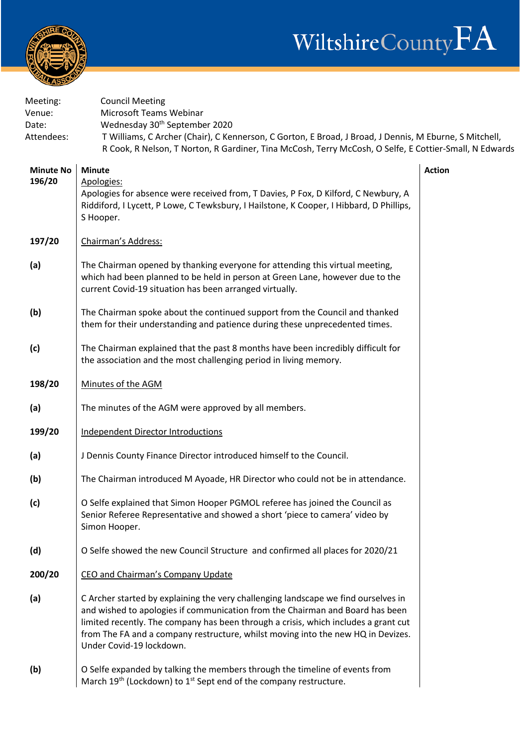



| Meeting:<br>Venue:<br>Date: | <b>Council Meeting</b><br>Microsoft Teams Webinar<br>Wednesday 30 <sup>th</sup> September 2020                                                                                                                                                                                                                                                                             |               |
|-----------------------------|----------------------------------------------------------------------------------------------------------------------------------------------------------------------------------------------------------------------------------------------------------------------------------------------------------------------------------------------------------------------------|---------------|
| Attendees:                  | T Williams, C Archer (Chair), C Kennerson, C Gorton, E Broad, J Broad, J Dennis, M Eburne, S Mitchell,<br>R Cook, R Nelson, T Norton, R Gardiner, Tina McCosh, Terry McCosh, O Selfe, E Cottier-Small, N Edwards                                                                                                                                                           |               |
| <b>Minute No</b><br>196/20  | <b>Minute</b><br>Apologies:<br>Apologies for absence were received from, T Davies, P Fox, D Kilford, C Newbury, A<br>Riddiford, I Lycett, P Lowe, C Tewksbury, I Hailstone, K Cooper, I Hibbard, D Phillips,<br>S Hooper.                                                                                                                                                  | <b>Action</b> |
| 197/20                      | Chairman's Address:                                                                                                                                                                                                                                                                                                                                                        |               |
| (a)                         | The Chairman opened by thanking everyone for attending this virtual meeting,<br>which had been planned to be held in person at Green Lane, however due to the<br>current Covid-19 situation has been arranged virtually.                                                                                                                                                   |               |
| (b)                         | The Chairman spoke about the continued support from the Council and thanked<br>them for their understanding and patience during these unprecedented times.                                                                                                                                                                                                                 |               |
| (c)                         | The Chairman explained that the past 8 months have been incredibly difficult for<br>the association and the most challenging period in living memory.                                                                                                                                                                                                                      |               |
| 198/20                      | Minutes of the AGM                                                                                                                                                                                                                                                                                                                                                         |               |
| (a)                         | The minutes of the AGM were approved by all members.                                                                                                                                                                                                                                                                                                                       |               |
| 199/20                      | <b>Independent Director Introductions</b>                                                                                                                                                                                                                                                                                                                                  |               |
| (a)                         | J Dennis County Finance Director introduced himself to the Council.                                                                                                                                                                                                                                                                                                        |               |
| (b)                         | The Chairman introduced M Ayoade, HR Director who could not be in attendance.                                                                                                                                                                                                                                                                                              |               |
| (c)                         | O Selfe explained that Simon Hooper PGMOL referee has joined the Council as<br>Senior Referee Representative and showed a short 'piece to camera' video by<br>Simon Hooper.                                                                                                                                                                                                |               |
| (d)                         | O Selfe showed the new Council Structure and confirmed all places for 2020/21                                                                                                                                                                                                                                                                                              |               |
| 200/20                      | CEO and Chairman's Company Update                                                                                                                                                                                                                                                                                                                                          |               |
| (a)                         | C Archer started by explaining the very challenging landscape we find ourselves in<br>and wished to apologies if communication from the Chairman and Board has been<br>limited recently. The company has been through a crisis, which includes a grant cut<br>from The FA and a company restructure, whilst moving into the new HQ in Devizes.<br>Under Covid-19 lockdown. |               |
| (b)                         | O Selfe expanded by talking the members through the timeline of events from<br>March $19th$ (Lockdown) to $1st$ Sept end of the company restructure.                                                                                                                                                                                                                       |               |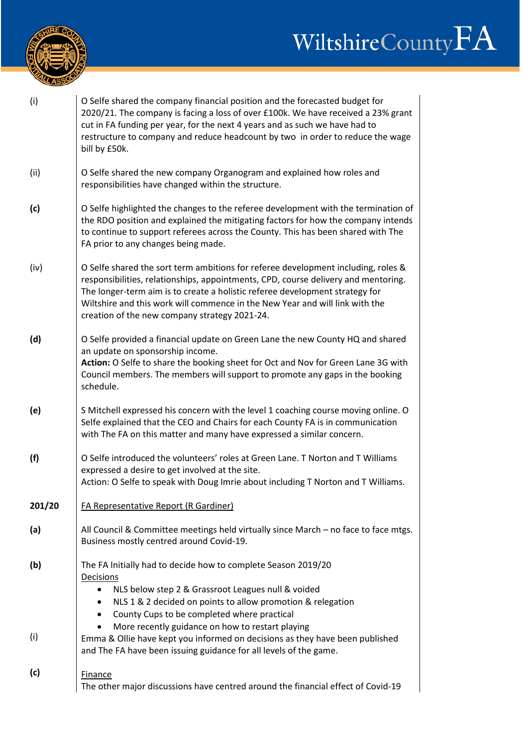## WiltshireCountyFA



| (i)        | O Selfe shared the company financial position and the forecasted budget for<br>2020/21. The company is facing a loss of over £100k. We have received a 23% grant<br>cut in FA funding per year, for the next 4 years and as such we have had to<br>restructure to company and reduce headcount by two in order to reduce the wage<br>bill by £50k.                                       |
|------------|------------------------------------------------------------------------------------------------------------------------------------------------------------------------------------------------------------------------------------------------------------------------------------------------------------------------------------------------------------------------------------------|
| (ii)       | O Selfe shared the new company Organogram and explained how roles and<br>responsibilities have changed within the structure.                                                                                                                                                                                                                                                             |
| (c)        | O Selfe highlighted the changes to the referee development with the termination of<br>the RDO position and explained the mitigating factors for how the company intends<br>to continue to support referees across the County. This has been shared with The<br>FA prior to any changes being made.                                                                                       |
| (iv)       | O Selfe shared the sort term ambitions for referee development including, roles &<br>responsibilities, relationships, appointments, CPD, course delivery and mentoring.<br>The longer-term aim is to create a holistic referee development strategy for<br>Wiltshire and this work will commence in the New Year and will link with the<br>creation of the new company strategy 2021-24. |
| (d)        | O Selfe provided a financial update on Green Lane the new County HQ and shared<br>an update on sponsorship income.<br>Action: O Selfe to share the booking sheet for Oct and Nov for Green Lane 3G with<br>Council members. The members will support to promote any gaps in the booking<br>schedule.                                                                                     |
| (e)        | S Mitchell expressed his concern with the level 1 coaching course moving online. O<br>Selfe explained that the CEO and Chairs for each County FA is in communication<br>with The FA on this matter and many have expressed a similar concern.                                                                                                                                            |
| (f)        | O Selfe introduced the volunteers' roles at Green Lane. T Norton and T Williams<br>expressed a desire to get involved at the site.<br>Action: O Selfe to speak with Doug Imrie about including T Norton and T Williams.                                                                                                                                                                  |
| 201/20     | <b>FA Representative Report (R Gardiner)</b>                                                                                                                                                                                                                                                                                                                                             |
| (a)        | All Council & Committee meetings held virtually since March - no face to face mtgs.<br>Business mostly centred around Covid-19.                                                                                                                                                                                                                                                          |
| (b)<br>(i) | The FA Initially had to decide how to complete Season 2019/20<br>Decisions<br>NLS below step 2 & Grassroot Leagues null & voided<br>NLS 1 & 2 decided on points to allow promotion & relegation<br>County Cups to be completed where practical<br>More recently guidance on how to restart playing<br>Emma & Ollie have kept you informed on decisions as they have been published       |
| (c)        | and The FA have been issuing guidance for all levels of the game.<br>Finance<br>The other major discussions have centred around the financial effect of Covid-19                                                                                                                                                                                                                         |